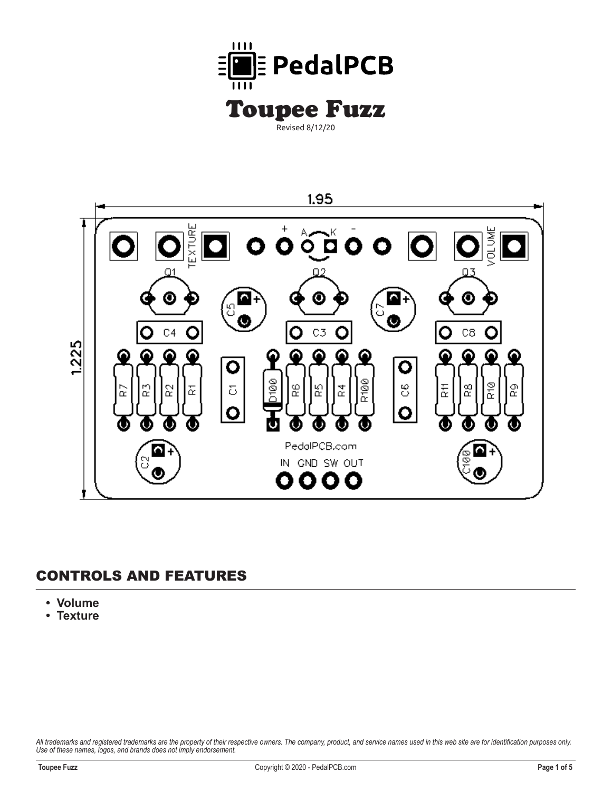



## **CONTROLS AND FEATURES**

- **Volume**
- **Texture**

*All trademarks and registered trademarks are the property of their respective owners. The company, product, and service names used in this web site are for identification purposes only. Use of these names, logos, and brands does not imply endorsement.*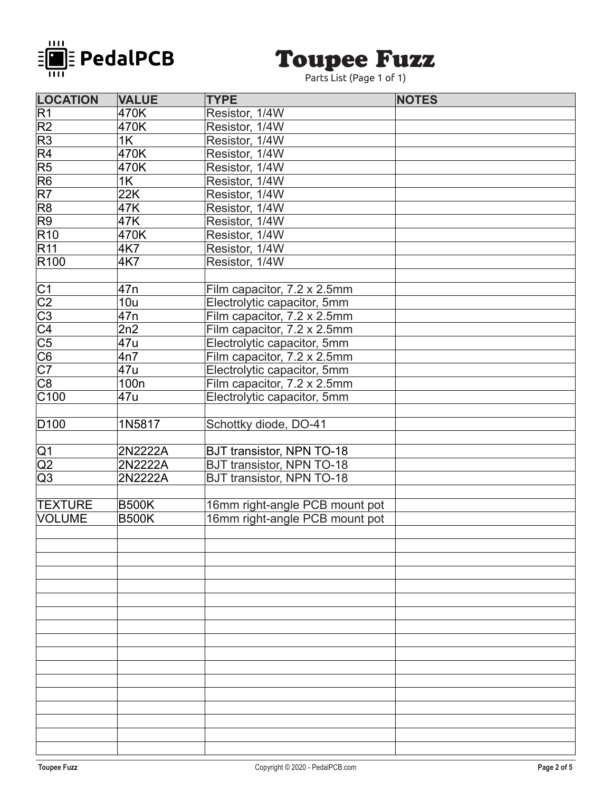

## **Toupee Fuzz**

Parts List (Page 1 of 1)

| <b>LOCATION</b>                        | <b>VALUE</b>     | <b>TYPE</b>                      | <b>NOTES</b> |
|----------------------------------------|------------------|----------------------------------|--------------|
| R1                                     | 470K             | Resistor, 1/4W                   |              |
| R2                                     | 470K             | Resistor, 1/4W                   |              |
| R3                                     | 1K               | Resistor, 1/4W                   |              |
| R4                                     | 470K             | Resistor, 1/4W                   |              |
| $\overline{\mathsf{R}5}$               | 470K             | Resistor, 1/4W                   |              |
| R6                                     | 1K               | Resistor, 1/4W                   |              |
| R7                                     | 22K              | Resistor, 1/4W                   |              |
| R8                                     | 47K              | Resistor, 1/4W                   |              |
| R9                                     | 47K              | Resistor, 1/4W                   |              |
| R10                                    | 470K             | Resistor, 1/4W                   |              |
| R11                                    | <b>4K7</b>       | Resistor, 1/4W                   |              |
| R <sub>100</sub>                       | 4K7              | Resistor, 1/4W                   |              |
|                                        |                  |                                  |              |
| C1<br>C2<br>C3<br>C4<br>C5<br>C6<br>C7 | 47 <sub>n</sub>  | Film capacitor, 7.2 x 2.5mm      |              |
|                                        | 10u              | Electrolytic capacitor, 5mm      |              |
|                                        | 47 <sub>n</sub>  | Film capacitor, 7.2 x 2.5mm      |              |
|                                        | 2n2              | Film capacitor, 7.2 x 2.5mm      |              |
|                                        | 47u              | Electrolytic capacitor, 5mm      |              |
|                                        | 4n7              | Film capacitor, 7.2 x 2.5mm      |              |
|                                        | 47u              | Electrolytic capacitor, 5mm      |              |
| $\overline{\text{C8}}$                 | 100 <sub>n</sub> | Film capacitor, 7.2 x 2.5mm      |              |
| $\overline{\text{C}100}$               | 47u              | Electrolytic capacitor, 5mm      |              |
|                                        |                  |                                  |              |
| D <sub>100</sub>                       | 1N5817           | Schottky diode, DO-41            |              |
|                                        |                  |                                  |              |
| Q1                                     | 2N2222A          | <b>BJT transistor, NPN TO-18</b> |              |
| $\overline{Q2}$                        | 2N2222A          | <b>BJT transistor, NPN TO-18</b> |              |
| $\overline{Q3}$                        | 2N2222A          | <b>BJT transistor, NPN TO-18</b> |              |
|                                        |                  |                                  |              |
| <b>TEXTURE</b>                         | <b>B500K</b>     | 16mm right-angle PCB mount pot   |              |
| <b>VOLUME</b>                          | <b>B500K</b>     | 16mm right-angle PCB mount pot   |              |
|                                        |                  |                                  |              |
|                                        |                  |                                  |              |
|                                        |                  |                                  |              |
|                                        |                  |                                  |              |
|                                        |                  |                                  |              |
|                                        |                  |                                  |              |
|                                        |                  |                                  |              |
|                                        |                  |                                  |              |
|                                        |                  |                                  |              |
|                                        |                  |                                  |              |
|                                        |                  |                                  |              |
|                                        |                  |                                  |              |
|                                        |                  |                                  |              |
|                                        |                  |                                  |              |
|                                        |                  |                                  |              |
|                                        |                  |                                  |              |
|                                        |                  |                                  |              |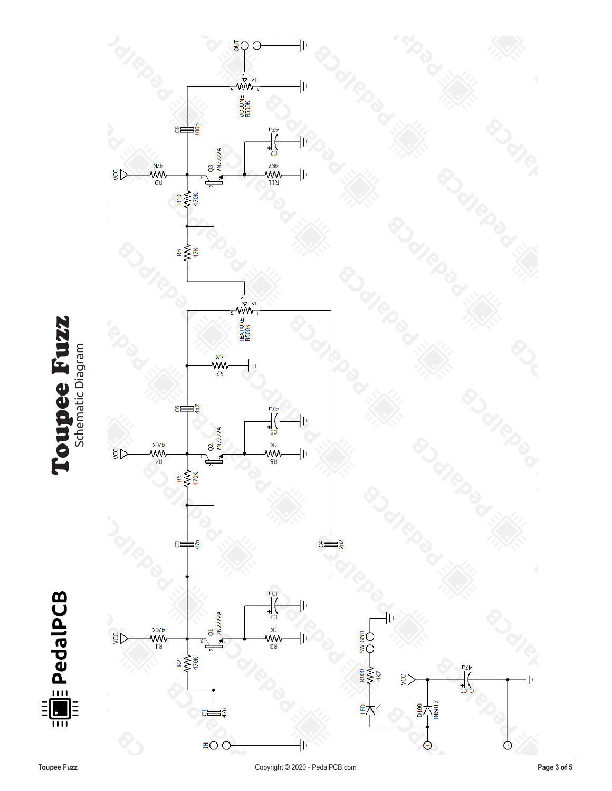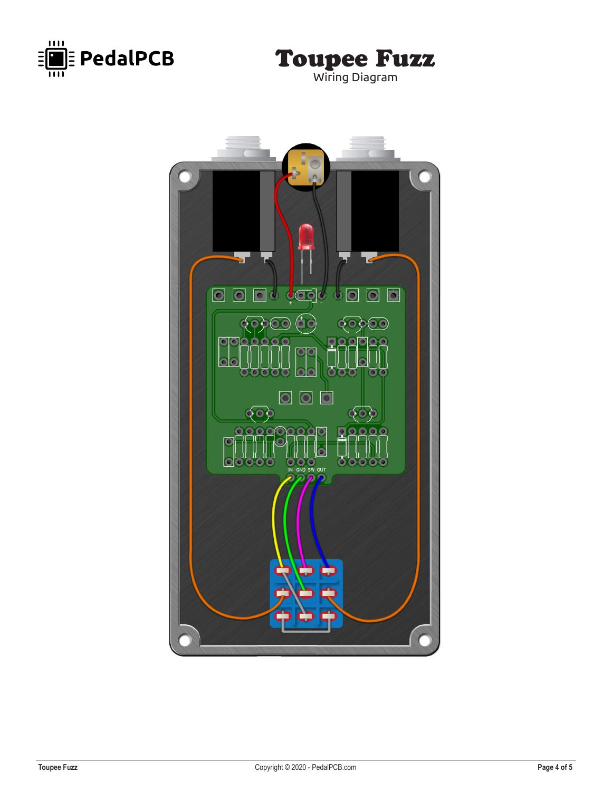



50 <u>o o degl</u>  $\boxed{\circ}$  $\overline{\blacksquare}$  $\boxed{0}$  $\bullet$ -Ò  $\overline{\mathbb{Q}}$   $\overline{\mathbb{Q}}$  $\odot$  $\mathbf{O}$   $\mathbf{O}$  $\bullet$ Ō  $\circ$  $\bullet$  $\blacksquare$  $\bullet$  $\boxed{\circ}$  $50.3$ O IN GND SW  $\overline{\phantom{a}}$  out